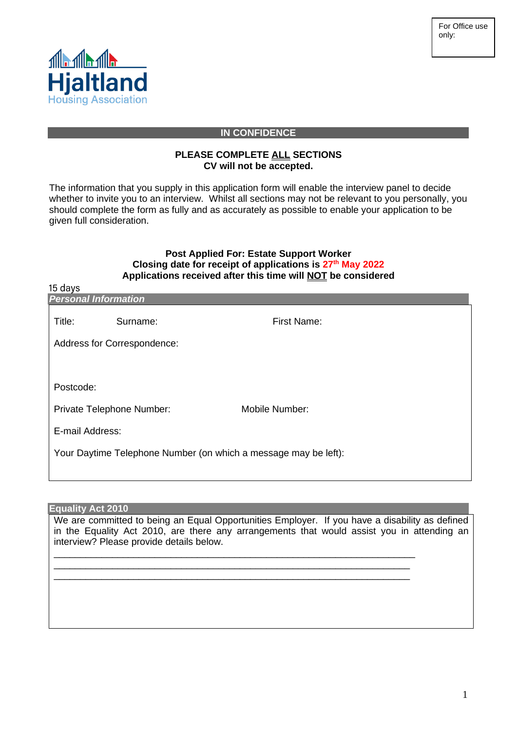

### **IN CONFIDENCE**

### **PLEASE COMPLETE ALL SECTIONS CV will not be accepted.**

The information that you supply in this application form will enable the interview panel to decide whether to invite you to an interview. Whilst all sections may not be relevant to you personally, you should complete the form as fully and as accurately as possible to enable your application to be given full consideration.

## **Post Applied For: Estate Support Worker Closing date for receipt of applications is 27 th May 2022 Applications received after this time will NOT be considered**

| 15 days<br><b>Personal Information</b>                          |          |                |  |  |  |
|-----------------------------------------------------------------|----------|----------------|--|--|--|
| Title:                                                          | Surname: | First Name:    |  |  |  |
| Address for Correspondence:                                     |          |                |  |  |  |
|                                                                 |          |                |  |  |  |
| Postcode:                                                       |          |                |  |  |  |
| Private Telephone Number:                                       |          | Mobile Number: |  |  |  |
| E-mail Address:                                                 |          |                |  |  |  |
| Your Daytime Telephone Number (on which a message may be left): |          |                |  |  |  |
|                                                                 |          |                |  |  |  |

### **Equality Act 2010**

 $\lambda = 1$ 

We are committed to being an Equal Opportunities Employer. If you have a disability as defined in the Equality Act 2010, are there any arrangements that would assist you in attending an interview? Please provide details below.

\_\_\_\_\_\_\_\_\_\_\_\_\_\_\_\_\_\_\_\_\_\_\_\_\_\_\_\_\_\_\_\_\_\_\_\_\_\_\_\_\_\_\_\_\_\_\_\_\_\_\_\_\_\_\_\_\_\_\_\_\_\_\_\_\_\_\_\_ \_\_\_\_\_\_\_\_\_\_\_\_\_\_\_\_\_\_\_\_\_\_\_\_\_\_\_\_\_\_\_\_\_\_\_\_\_\_\_\_\_\_\_\_\_\_\_\_\_\_\_\_\_\_\_\_\_\_\_\_\_\_\_\_\_\_\_ \_\_\_\_\_\_\_\_\_\_\_\_\_\_\_\_\_\_\_\_\_\_\_\_\_\_\_\_\_\_\_\_\_\_\_\_\_\_\_\_\_\_\_\_\_\_\_\_\_\_\_\_\_\_\_\_\_\_\_\_\_\_\_\_\_\_\_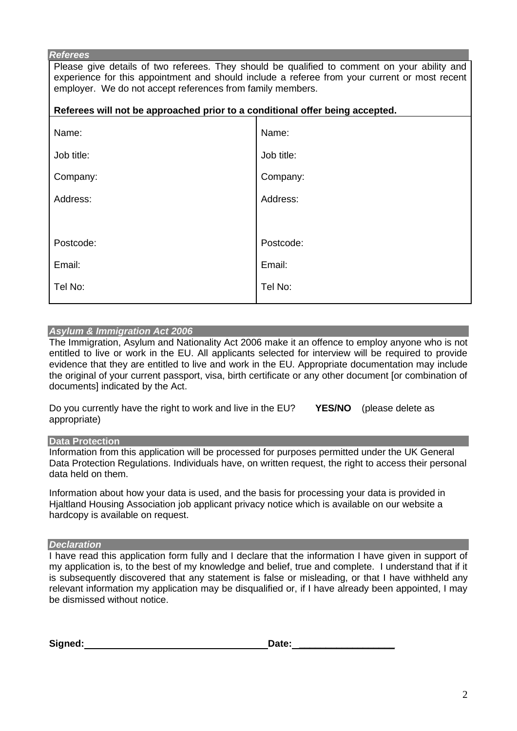#### *Referees*

Please give details of two referees. They should be qualified to comment on your ability and experience for this appointment and should include a referee from your current or most recent employer. We do not accept references from family members.

| Referees will not be approached prior to a conditional offer being accepted. |            |  |  |
|------------------------------------------------------------------------------|------------|--|--|
| Name:                                                                        | Name:      |  |  |
| Job title:                                                                   | Job title: |  |  |
| Company:                                                                     | Company:   |  |  |
| Address:                                                                     | Address:   |  |  |
|                                                                              |            |  |  |
| Postcode:                                                                    | Postcode:  |  |  |
| Email:                                                                       | Email:     |  |  |
| Tel No:                                                                      | Tel No:    |  |  |
|                                                                              |            |  |  |

### *Asylum & Immigration Act 2006*

The Immigration, Asylum and Nationality Act 2006 make it an offence to employ anyone who is not entitled to live or work in the EU. All applicants selected for interview will be required to provide evidence that they are entitled to live and work in the EU. Appropriate documentation may include the original of your current passport, visa, birth certificate or any other document [or combination of documents] indicated by the Act.

| Do you currently have the right to work and live in the EU? | <b>YES/NO</b> (please delete as |
|-------------------------------------------------------------|---------------------------------|
| appropriate)                                                |                                 |

**Data Protection** 

Information from this application will be processed for purposes permitted under the UK General Data Protection Regulations. Individuals have, on written request, the right to access their personal data held on them.

Information about how your data is used, and the basis for processing your data is provided in Hjaltland Housing Association job applicant privacy notice which is available on our website a hardcopy is available on request.

#### *Declaration*

I have read this application form fully and I declare that the information I have given in support of my application is, to the best of my knowledge and belief, true and complete. I understand that if it is subsequently discovered that any statement is false or misleading, or that I have withheld any relevant information my application may be disqualified or, if I have already been appointed, I may be dismissed without notice.

| Signed: | Date: |
|---------|-------|
|         |       |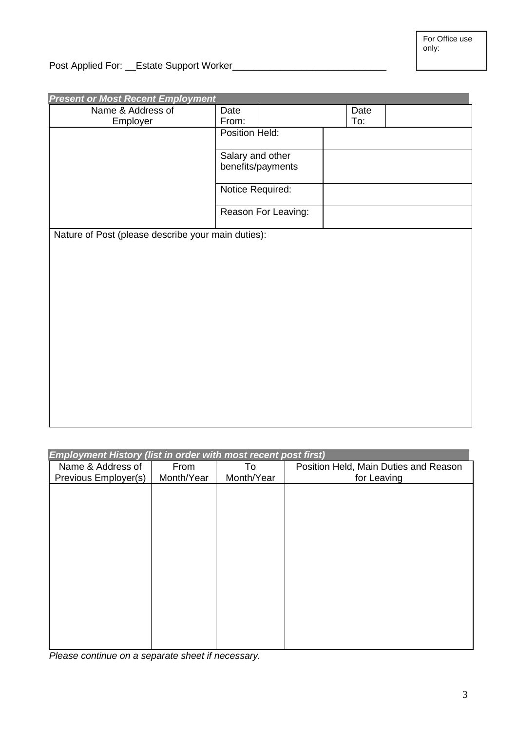Post Applied For: \_\_Estate Support Worker\_\_\_\_\_\_\_\_\_\_\_\_\_\_\_\_\_\_\_\_\_\_\_\_\_\_\_\_\_

| <b>Present or Most Recent Employment</b>           |                     |                   |      |  |
|----------------------------------------------------|---------------------|-------------------|------|--|
| Name & Address of                                  | Date                |                   | Date |  |
| Employer                                           | From:               |                   | To:  |  |
|                                                    | Position Held:      |                   |      |  |
|                                                    |                     |                   |      |  |
|                                                    | Salary and other    |                   |      |  |
|                                                    |                     | benefits/payments |      |  |
|                                                    | Notice Required:    |                   |      |  |
|                                                    | Reason For Leaving: |                   |      |  |
| Nature of Post (please describe your main duties): |                     |                   |      |  |
|                                                    |                     |                   |      |  |
|                                                    |                     |                   |      |  |
|                                                    |                     |                   |      |  |
|                                                    |                     |                   |      |  |
|                                                    |                     |                   |      |  |
|                                                    |                     |                   |      |  |
|                                                    |                     |                   |      |  |
|                                                    |                     |                   |      |  |
|                                                    |                     |                   |      |  |
|                                                    |                     |                   |      |  |
|                                                    |                     |                   |      |  |
|                                                    |                     |                   |      |  |
|                                                    |                     |                   |      |  |
|                                                    |                     |                   |      |  |
|                                                    |                     |                   |      |  |
|                                                    |                     |                   |      |  |

*Employment History (list in order with most recent post first)* 

| $\mathbf{L}$ in profit rists for the case with most research post mot |            |            |                                       |
|-----------------------------------------------------------------------|------------|------------|---------------------------------------|
| Name & Address of                                                     | From       | To         | Position Held, Main Duties and Reason |
| Previous Employer(s)                                                  | Month/Year | Month/Year | for Leaving                           |
|                                                                       |            |            |                                       |
|                                                                       |            |            |                                       |
|                                                                       |            |            |                                       |
|                                                                       |            |            |                                       |
|                                                                       |            |            |                                       |
|                                                                       |            |            |                                       |
|                                                                       |            |            |                                       |
|                                                                       |            |            |                                       |
|                                                                       |            |            |                                       |
|                                                                       |            |            |                                       |
|                                                                       |            |            |                                       |
|                                                                       |            |            |                                       |
|                                                                       |            |            |                                       |
|                                                                       |            |            |                                       |
|                                                                       |            |            |                                       |
|                                                                       |            |            |                                       |
|                                                                       |            |            |                                       |
|                                                                       |            |            |                                       |

*Please continue on a separate sheet if necessary.*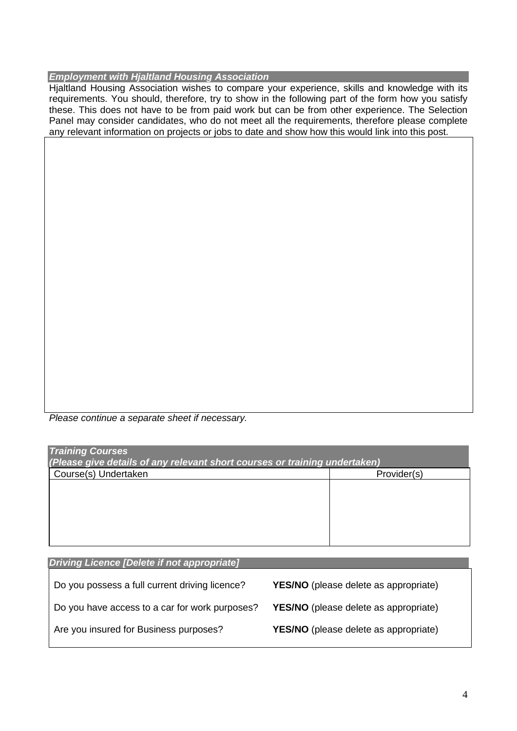# *Employment with Hjaltland Housing Association*

Hjaltland Housing Association wishes to compare your experience, skills and knowledge with its requirements. You should, therefore, try to show in the following part of the form how you satisfy these. This does not have to be from paid work but can be from other experience. The Selection Panel may consider candidates, who do not meet all the requirements, therefore please complete any relevant information on projects or jobs to date and show how this would link into this post.

*Please continue a separate sheet if necessary.*

| <b>Training Courses</b><br>(Please give details of any relevant short courses or training undertaken) |             |  |  |
|-------------------------------------------------------------------------------------------------------|-------------|--|--|
| Course(s) Undertaken                                                                                  | Provider(s) |  |  |
|                                                                                                       |             |  |  |
|                                                                                                       |             |  |  |
|                                                                                                       |             |  |  |
|                                                                                                       |             |  |  |
|                                                                                                       |             |  |  |

| Driving Licence [Delete if not appropriate]    |                                              |
|------------------------------------------------|----------------------------------------------|
| Do you possess a full current driving licence? | <b>YES/NO</b> (please delete as appropriate) |
| Do you have access to a car for work purposes? | YES/NO (please delete as appropriate)        |
| Are you insured for Business purposes?         | YES/NO (please delete as appropriate)        |